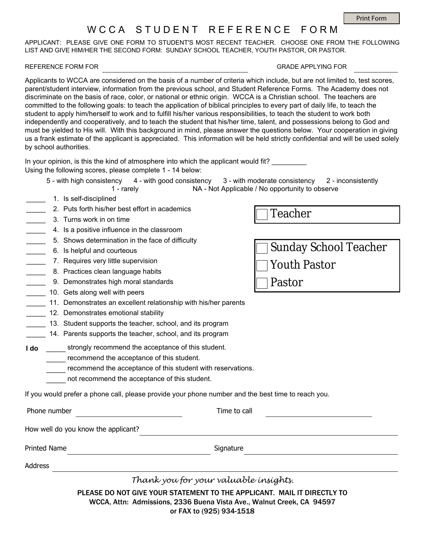## W C C A S T U D E N T R E F E R E N C E F O R M

APPLICANT: PLEASE GIVE ONE FORM TO STUDENT'S MOST RECENT TEACHER. CHOOSE ONE FROM THE FOLLOWING LIST AND GIVE HIM/HER THE SECOND FORM: SUNDAY SCHOOL TEACHER, YOUTH PASTOR, OR PASTOR.

## REFERENCE FORM FOR GRADE APPLYING FOR

Applicants to WCCA are considered on the basis of a number of criteria which include, but are not limited to, test scores, parent/student interview, information from the previous school, and Student Reference Forms. The Academy does not discriminate on the basis of race, color, or national or ethnic origin. WCCA is a Christian school. The teachers are committed to the following goals: to teach the application of biblical principles to every part of daily life, to teach the student to apply him/herself to work and to fulfill his/her various responsibilities, to teach the student to work both independently and cooperatively, and to teach the student that his/her time, talent, and possessions belong to God and must be yielded to His will. With this background in mind, please answer the questions below. Your cooperation in giving us a frank estimate of the applicant is appreciated. This information will be held strictly confidential and will be used solely by school authorities.

In your opinion, is this the kind of atmosphere into which the applicant would fit? Using the following scores, please complete 1 - 14 below:

- 5 with high consistency 4 with good consistency 3 with moderate consistency 2 inconsistently 1 - rarely NA - Not Applicable / No opportunity to observe
- \_\_\_\_\_ 1. Is self-disciplined
- $\overline{\phantom{a}}$ 2. Puts forth his/her best effort in academics
- \_\_\_\_\_ 3. Turns work in on time
- \_\_\_\_\_ 4. Is a positive influence in the classroom
- \_\_\_\_\_ 5. Shows determination in the face of difficulty
- \_\_\_\_\_ 6. Is helpful and courteous
- \_\_\_\_\_ 7. Requires very little supervision
- \_\_\_\_\_ 8. Practices clean language habits
- \_\_\_\_\_ 9. Demonstrates high moral standards
- \_\_\_\_\_ 10. Gets along well with peers
- \_\_\_\_\_ 11. Demonstrates an excellent relationship with his/her parents
- \_\_\_\_\_ 12. Demonstrates emotional stability
- \_\_\_\_\_ 13. Student supports the teacher, school, and its program
- $\overline{\phantom{a}}$ 14. Parents supports the teacher, school, and its program

**I do** strongly recommend the acceptance of this student.  $\overline{\phantom{a}}$ 

- **EXECOMMED THE ACCEPTANCE OF this student.**
- **EXECOMMENT INCOCORDITY THE ACCEPTANCE OF this student with reservations.**
- not recommend the acceptance of this student.  $\overline{\phantom{a}}$

If you would prefer a phone call, please provide your phone number and the best time to reach you.

|  |  | Phone number |
|--|--|--------------|
|--|--|--------------|

Time to call

How well do you know the applicant?

Printed Name Signature

Address

*Thank you for your valuable insights.*

PLEASE DO NOT GIVE YOUR STATEMENT TO THE APPLICANT. MAIL IT DIRECTLY TO WCCA, Attn: Admissions, 2336 Buena Vista Ave., Walnut Creek, CA 94597 or FAX to (925) 934-1518

Teacher

Pastor

Sunday School Teacher Youth Pastor